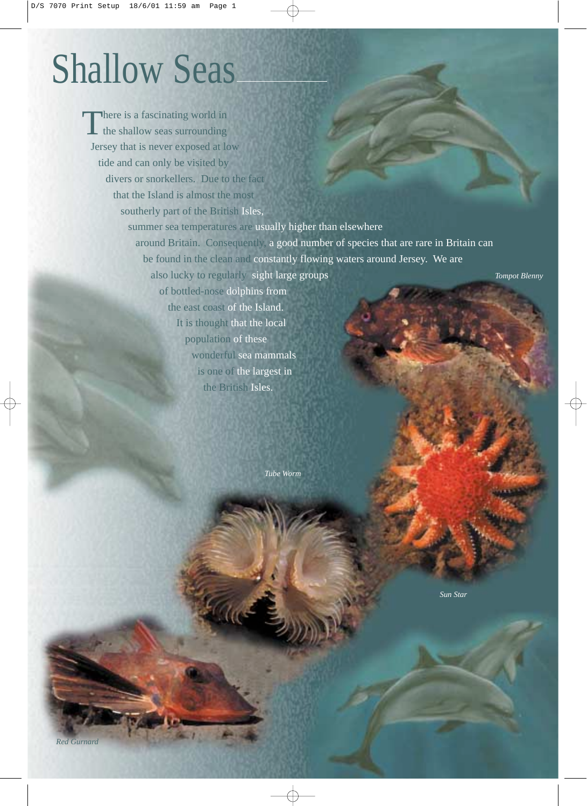## Shallow Seas

*Tompot Blenny* There is a fascinating world in the shallow seas surrounding Jersey that is never exposed at low tide and can only be visited by divers or snorkellers. Due to the fact that the Island is almost the most southerly part of the British Isles, summer sea temperatures are usually higher than elsewhere around Britain. Consequently, a good number of species that are rare in Britain can be found in the clean and constantly flowing waters around Jersey. We are also lucky to regularly sight large groups of bottled-nose dolphins from the east coast of the Island. It is thought that the local population of these wonderful sea mammals is one of the largest in the British Isles.

*Tube Worm*

*Sun Star*